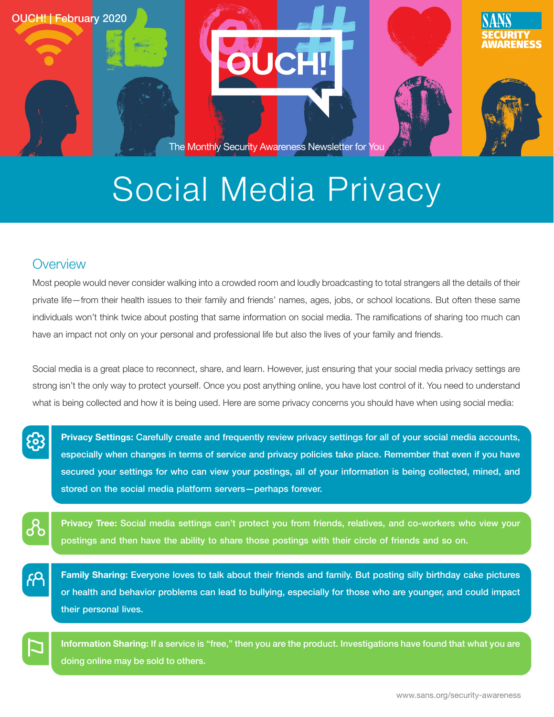

## Social Media Privacy

## **Overview**

Most people would never consider walking into a crowded room and loudly broadcasting to total strangers all the details of their private life—from their health issues to their family and friends' names, ages, jobs, or school locations. But often these same individuals won't think twice about posting that same information on social media. The ramifications of sharing too much can have an impact not only on your personal and professional life but also the lives of your family and friends.

Social media is a great place to reconnect, share, and learn. However, just ensuring that your social media privacy settings are strong isn't the only way to protect yourself. Once you post anything online, you have lost control of it. You need to understand what is being collected and how it is being used. Here are some privacy concerns you should have when using social media:

တိ

Privacy Settings: Carefully create and frequently review privacy settings for all of your social media accounts, especially when changes in terms of service and privacy policies take place. Remember that even if you have secured your settings for who can view your postings, all of your information is being collected, mined, and stored on the social media platform servers-perhaps forever.

Privacy Tree: Social media settings can't protect you from friends, relatives, and co-workers who view your postings and then have the ability to share those postings with their circle of friends and so on.

Family Sharing: Everyone loves to talk about their friends and family. But posting silly birthday cake pictures or health and behavior problems can lead to bullying, especially for those who are younger, and could impact their personal lives.

Information Sharing: If a service is "free," then you are the product. Investigations have found that what you are doing online may be sold to others.